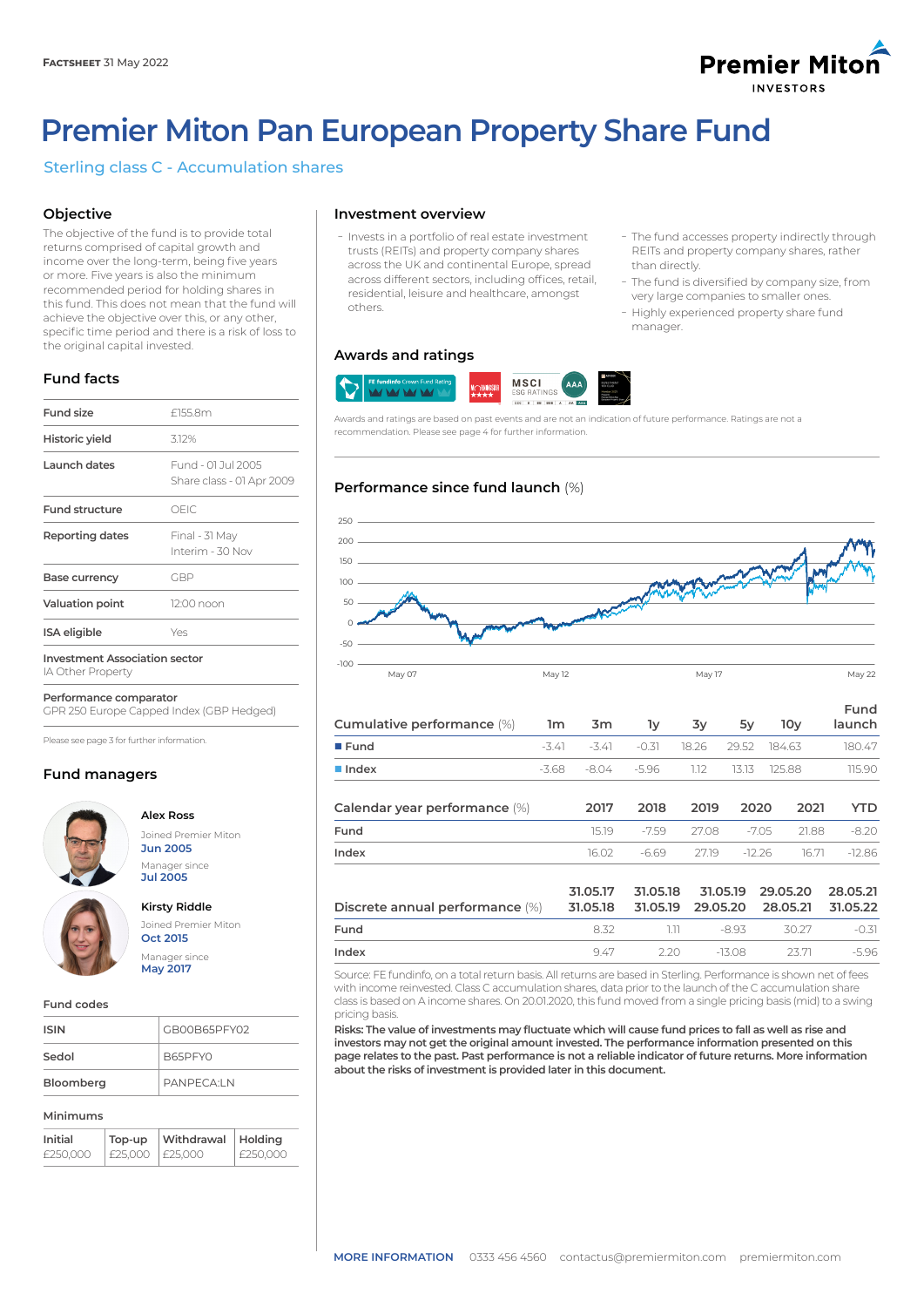

ܥThe fund accesses property indirectly through REITs and property company shares, rather

- The fund is diversified by company size, from very large companies to smaller ones. - Highly experienced property share fund

than directly.

manager.

# **Premier Miton Pan European Property Share Fund**

# Sterling class C - Accumulation shares

# **Objective**

The objective of the fund is to provide total returns comprised of capital growth and income over the long-term, being five years or more. Five years is also the minimum recommended period for holding shares in this fund. This does not mean that the fund will achieve the objective over this, or any other, specific time period and there is a risk of loss to the original capital invested.

# **Fund facts**

| <b>Fund size</b>                                          | £155.8m                                         |
|-----------------------------------------------------------|-------------------------------------------------|
| Historic yield                                            | 3.12%                                           |
| Launch dates                                              | Fund - 01.Jul 2005<br>Share class - 01 Apr 2009 |
| <b>Fund structure</b>                                     | OFIC.                                           |
| <b>Reporting dates</b>                                    | Final - 31 May<br>Interim - 30 Nov              |
| Base currency                                             | GBP                                             |
| <b>Valuation point</b>                                    | 12:00 noon                                      |
| ISA eligible                                              | Yes                                             |
| <b>Investment Association sector</b><br>IA Other Dronerty |                                                 |

IA Other Property

**Performance comparator**

GPR 250 Europe Capped Index (GBP Hedged)

Please see page 3 for further information.

# **Fund managers**



# **Alex Ross**

Joined Premier Miton **Jun 2005** Manager since **Jul 2005**



**Kirsty Riddle** Joined Premier Miton **Oct 2015** Manager since **May 2017**

**Fund codes**

| <b>ISIN</b> | GB00B65PFY02 |
|-------------|--------------|
| Sedol       | B65PFY0      |
| Bloomberg   | PANPFCAIN    |

### **Minimums**

| Initial  | Top-up          | Withdrawal   Holding |            |
|----------|-----------------|----------------------|------------|
| £250.000 | £25,000 F25,000 |                      | ! £250.000 |

# **Investment overview**

ܥInvests in a portfolio of real estate investment trusts (REITs) and property company shares across the UK and continental Europe, spread across different sectors, including offices, retail, residential, leisure and healthcare, amongst others.

# **Awards and ratings**



Awards and ratings are based on past events and are not an indication of future performance. Ratings are not a recommendation. Please see page 4 for further information.

# **Performance since fund launch** (%)



| Cumulative performance (%)      | 1m      | 3 <sub>m</sub>       | lу                   | 3y       | 5y       | 10 <sub>V</sub>      | Fund<br>launch       |
|---------------------------------|---------|----------------------|----------------------|----------|----------|----------------------|----------------------|
| $\blacksquare$ Fund             | $-3.41$ | $-3.41$              | $-0.31$              | 18.26    | 29.52    | 184.63               | 180.47               |
| $\blacksquare$ Index            | $-3.68$ | $-8.04$              | $-5.96$              | 1.12     | 13.13    | 125.88               | 115.90               |
| Calendar year performance (%)   |         | 2017                 | 2018                 | 2019     | 2020     | 2021                 | YTD                  |
| Fund                            |         | 15.19                | $-7.59$              | 27.08    | $-7.05$  | 21.88                | $-8.20$              |
| Index                           |         | 16.02                | $-6.69$              | 27.19    | $-12.26$ | 16.71                | $-12.86$             |
| Discrete annual performance (%) |         | 31.05.17<br>31.05.18 | 31.05.18<br>31.05.19 | 29.05.20 | 31.05.19 | 29.05.20<br>28.05.21 | 28.05.21<br>31.05.22 |

**Fund** 8.32 1.11 -8.93 30.27 -0.31 **Index** 9.47 2.20 -13.08 23.71 -5.96 Source: FE fundinfo, on a total return basis. All returns are based in Sterling. Performance is shown net of fees

with income reinvested. Class C accumulation shares, data prior to the launch of the C accumulation share class is based on A income shares. On 20.01.2020, this fund moved from a single pricing basis (mid) to a swing pricing basis.

**Risks: The value of investments may fluctuate which will cause fund prices to fall as well as rise and investors may not get the original amount invested. The performance information presented on this page relates to the past. Past performance is not a reliable indicator of future returns. More information about the risks of investment is provided later in this document.**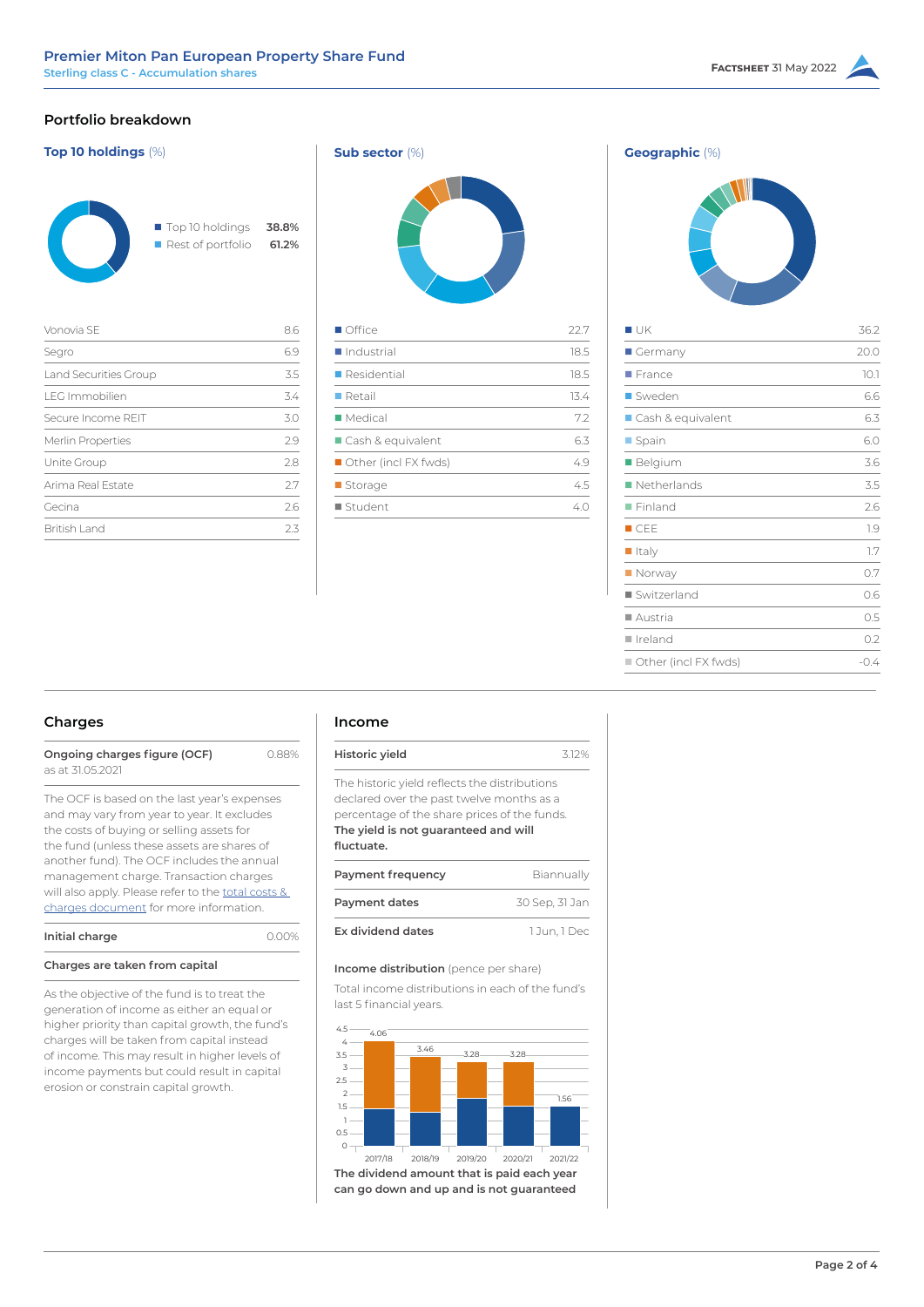# **Portfolio breakdown**





| Vonovia SF            | 8.6 |
|-----------------------|-----|
| Segro                 | 6.9 |
| Land Securities Group | 3.5 |
| <b>LEG Immobilien</b> | 3.4 |
| Secure Income REIT    | 3.0 |
| Merlin Properties     | 29  |
| Unite Group           | 2.8 |
| Arima Real Estate     | 27  |
| Gecina                | 2.6 |
| British Land          | フろ  |
|                       |     |





| I UK                   | 36.2   |
|------------------------|--------|
| Germany                | 20.0   |
| $\blacksquare$ France  | 10.1   |
| ■ Sweden               | 6.6    |
| Cash & equivalent      | 6.3    |
| ■ Spain                | 6.0    |
| ■ Belgium              | 3.6    |
| Netherlands            | 3.5    |
| $\blacksquare$ Finland | 2.6    |
| $\blacksquare$ CEE     | 1.9    |
| $\blacksquare$ Italy   | 1.7    |
| Norway                 | 0.7    |
| ■ Switzerland          | 0.6    |
| ■ Austria              | 0.5    |
| ∎ Ireland              | 0.2    |
| Other (incl FX fwds)   | $-0.4$ |

# **Charges**

| Ongoing charges figure (OCF) | 0.88% |
|------------------------------|-------|
| as at 31.05.2021             |       |

The OCF is based on the last year's expenses and may vary from year to year. It excludes the costs of buying or selling assets for the fund (unless these assets are [shares of](https://corporate-premiermiton.huguenots.co.uk///srp///documents-id///cc3181fa-6363-43b1-9473-69468f7d177b///Totalcostsandcharges.pdf)  another fund). The OCF includes the annual management charge. Transaction charges will also apply. Please refer to the total costs & [charges document](https://corporate-premiermiton.huguenots.co.uk///srp///documents-id///cc3181fa-6363-43b1-9473-69468f7d177b///Totalcostsandcharges.pdf) for more information.

| Initial charge |  |  |
|----------------|--|--|
|                |  |  |

# **Charges are taken from capital**

As the objective of the fund is to treat the generation of income as either an equal or higher priority than capital growth, the fund's charges will be taken from capital instead of income. This may result in higher levels of income payments but could result in capital erosion or constrain capital growth.

# **Income**

**Initial charge** 0.00%

| Historic yield                                | 312% |
|-----------------------------------------------|------|
| The historic yield reflects the distributions |      |
| declared over the past twelve months as a     |      |
| percentage of the share prices of the funds.  |      |
| The yield is not guaranteed and will          |      |
| fluctuate.                                    |      |

| Payment frequency | Biannually     |
|-------------------|----------------|
| Payment dates     | 30 Sep, 31 Jan |
| Ex dividend dates | 1 Jun. 1 Dec   |

### **Income distribution** (pence per share)

Total income distributions in each of the fund's last 5 financial years.



**can go down and up and is not guaranteed**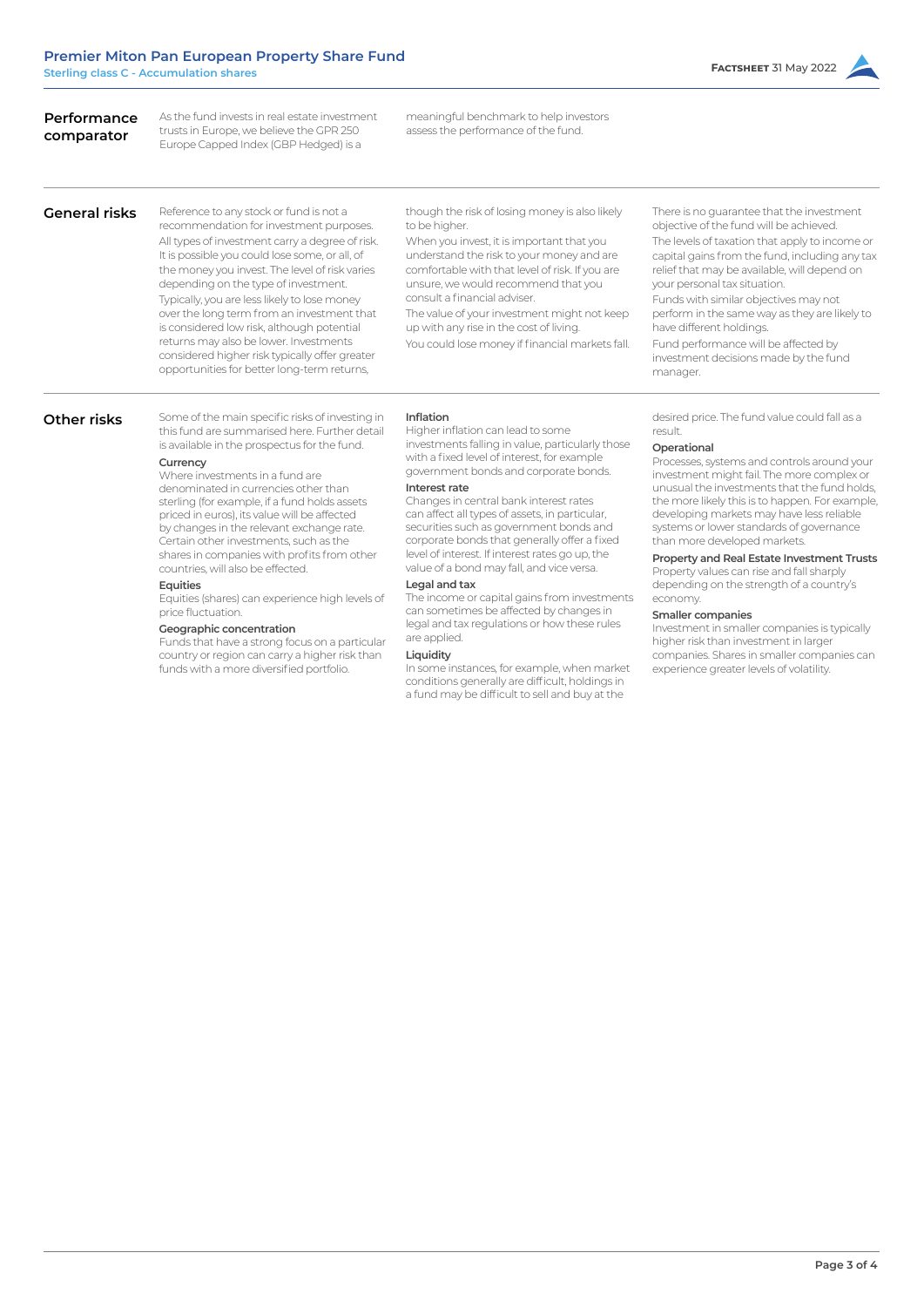| Performance<br>comparator | As the fund invests in real estate investment<br>trusts in Europe, we believe the GPR 250<br>Europe Capped Index (GBP Hedged) is a                                                                                                                                                                                                                                                                                                                                                                                                                                                                                                                                                                                                                                                   | meaningful benchmark to help investors<br>assess the performance of the fund.                                                                                                                                                                                                                                                                                                                                                                                                                                                                                                                                                                                                                                                                                                                                                                          |                                                                                                                                                                                                                                                                                                                                                                                                                                                                                                                                                                                                                                                                                                                                                             |
|---------------------------|--------------------------------------------------------------------------------------------------------------------------------------------------------------------------------------------------------------------------------------------------------------------------------------------------------------------------------------------------------------------------------------------------------------------------------------------------------------------------------------------------------------------------------------------------------------------------------------------------------------------------------------------------------------------------------------------------------------------------------------------------------------------------------------|--------------------------------------------------------------------------------------------------------------------------------------------------------------------------------------------------------------------------------------------------------------------------------------------------------------------------------------------------------------------------------------------------------------------------------------------------------------------------------------------------------------------------------------------------------------------------------------------------------------------------------------------------------------------------------------------------------------------------------------------------------------------------------------------------------------------------------------------------------|-------------------------------------------------------------------------------------------------------------------------------------------------------------------------------------------------------------------------------------------------------------------------------------------------------------------------------------------------------------------------------------------------------------------------------------------------------------------------------------------------------------------------------------------------------------------------------------------------------------------------------------------------------------------------------------------------------------------------------------------------------------|
| <b>General risks</b>      | Reference to any stock or fund is not a<br>recommendation for investment purposes.<br>All types of investment carry a degree of risk.<br>It is possible you could lose some, or all, of<br>the money you invest. The level of risk varies<br>depending on the type of investment.<br>Typically, you are less likely to lose money<br>over the long term from an investment that<br>is considered low risk, although potential<br>returns may also be lower. Investments<br>considered higher risk typically offer greater<br>opportunities for better long-term returns,                                                                                                                                                                                                             | though the risk of losing money is also likely<br>to be higher.<br>When you invest, it is important that you<br>understand the risk to your money and are<br>comfortable with that level of risk. If you are<br>unsure, we would recommend that you<br>consult a financial adviser.<br>The value of your investment might not keep<br>up with any rise in the cost of living.<br>You could lose money if financial markets fall.                                                                                                                                                                                                                                                                                                                                                                                                                       | There is no guarantee that the investment<br>objective of the fund will be achieved.<br>The levels of taxation that apply to income or<br>capital gains from the fund, including any tax<br>relief that may be available, will depend on<br>your personal tax situation.<br>Funds with similar objectives may not<br>perform in the same way as they are likely to<br>have different holdings.<br>Fund performance will be affected by<br>investment decisions made by the fund<br>manager.                                                                                                                                                                                                                                                                 |
| Other risks               | Some of the main specific risks of investing in<br>this fund are summarised here. Further detail<br>is available in the prospectus for the fund.<br>Currency<br>Where investments in a fund are<br>denominated in currencies other than<br>sterling (for example, if a fund holds assets<br>priced in euros), its value will be affected<br>by changes in the relevant exchange rate.<br>Certain other investments, such as the<br>shares in companies with profits from other<br>countries, will also be effected.<br>Equities<br>Equities (shares) can experience high levels of<br>price fluctuation.<br>Geographic concentration<br>Funds that have a strong focus on a particular<br>country or region can carry a higher risk than<br>funds with a more diversified portfolio. | <b>Inflation</b><br>Higher inflation can lead to some<br>investments falling in value, particularly those<br>with a fixed level of interest, for example<br>government bonds and corporate bonds.<br>Interest rate<br>Changes in central bank interest rates<br>can affect all types of assets, in particular,<br>securities such as government bonds and<br>corporate bonds that generally offer a fixed<br>level of interest. If interest rates go up, the<br>value of a bond may fall, and vice versa.<br>Legal and tax<br>The income or capital gains from investments<br>can sometimes be affected by changes in<br>legal and tax regulations or how these rules<br>are applied.<br>Liquidity<br>In some instances, for example, when market<br>conditions generally are difficult, holdings in<br>a fund may be difficult to sell and buy at the | desired price. The fund value could fall as a<br>result.<br>Operational<br>Processes, systems and controls around your<br>investment might fail. The more complex or<br>unusual the investments that the fund holds.<br>the more likely this is to happen. For example,<br>developing markets may have less reliable<br>systems or lower standards of governance<br>than more developed markets.<br>Property and Real Estate Investment Trusts<br>Property values can rise and fall sharply<br>depending on the strength of a country's<br>economy.<br>Smaller companies<br>Investment in smaller companies is typically<br>higher risk than investment in larger<br>companies. Shares in smaller companies can<br>experience greater levels of volatility. |